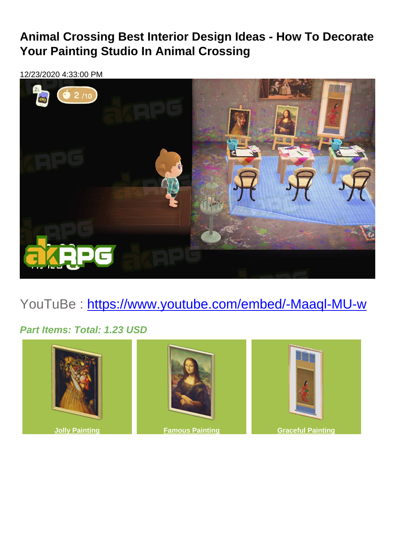## **Animal Crossing Best Interior Design Ideas - How To Decorate Your Painting Studio In Animal Crossing**

12/23/2020 4:33:00 PM



## YouTuBe: <https://www.youtube.com/embed/-Maaql-MU-w>

## **Part Items: Total: 1.23 USD**